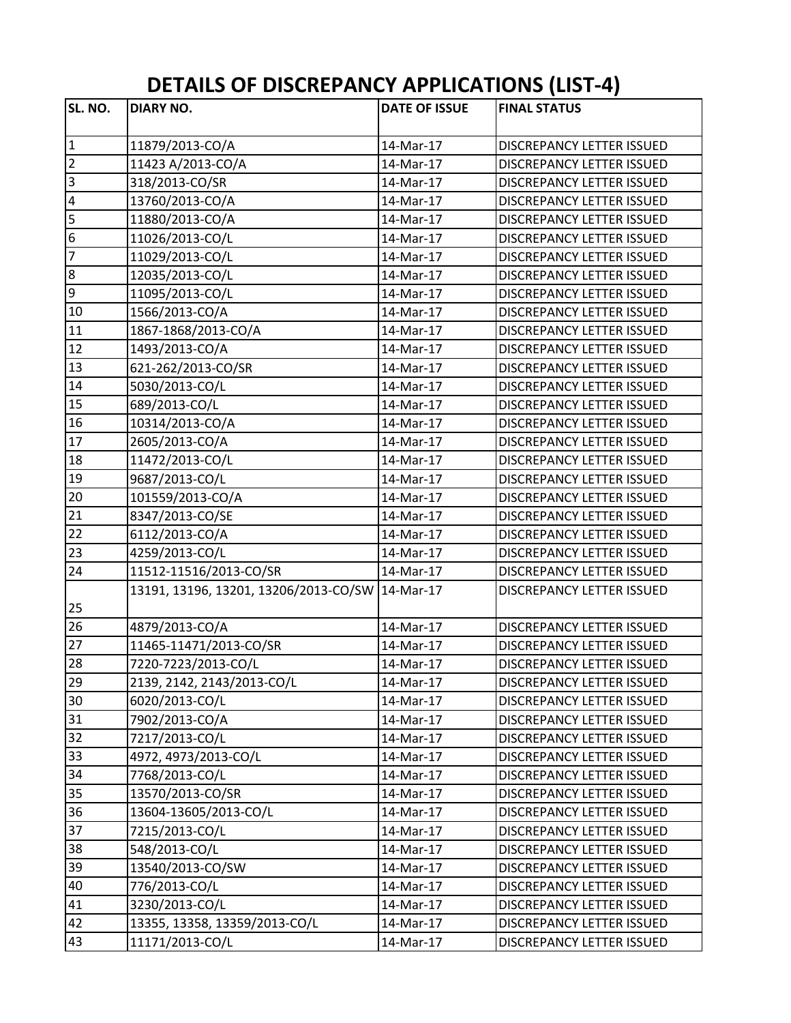## **DETAILS OF DISCREPANCY APPLICATIONS (LIST‐4)**

| SL. NO.                                                                    | <b>DIARY NO.</b>                                                                                                                                                                                                                                                                                                                                                                 | <b>DATE OF ISSUE</b>                                                                                                                                     | <b>FINAL STATUS</b>                                                                                                                                                                                                                                                                                                                                             |
|----------------------------------------------------------------------------|----------------------------------------------------------------------------------------------------------------------------------------------------------------------------------------------------------------------------------------------------------------------------------------------------------------------------------------------------------------------------------|----------------------------------------------------------------------------------------------------------------------------------------------------------|-----------------------------------------------------------------------------------------------------------------------------------------------------------------------------------------------------------------------------------------------------------------------------------------------------------------------------------------------------------------|
| $\mathbf{1}$                                                               | 11879/2013-CO/A                                                                                                                                                                                                                                                                                                                                                                  | 14-Mar-17                                                                                                                                                | <b>DISCREPANCY LETTER ISSUED</b>                                                                                                                                                                                                                                                                                                                                |
| $\overline{2}$                                                             | 11423 A/2013-CO/A                                                                                                                                                                                                                                                                                                                                                                | 14-Mar-17                                                                                                                                                | DISCREPANCY LETTER ISSUED                                                                                                                                                                                                                                                                                                                                       |
| $\overline{3}$                                                             | 318/2013-CO/SR                                                                                                                                                                                                                                                                                                                                                                   | 14-Mar-17                                                                                                                                                | DISCREPANCY LETTER ISSUED                                                                                                                                                                                                                                                                                                                                       |
| $\overline{\mathbf{4}}$                                                    | 13760/2013-CO/A                                                                                                                                                                                                                                                                                                                                                                  | 14-Mar-17                                                                                                                                                | DISCREPANCY LETTER ISSUED                                                                                                                                                                                                                                                                                                                                       |
| 5                                                                          | 11880/2013-CO/A                                                                                                                                                                                                                                                                                                                                                                  | 14-Mar-17                                                                                                                                                | DISCREPANCY LETTER ISSUED                                                                                                                                                                                                                                                                                                                                       |
| $\overline{6}$                                                             | 11026/2013-CO/L                                                                                                                                                                                                                                                                                                                                                                  | 14-Mar-17                                                                                                                                                | DISCREPANCY LETTER ISSUED                                                                                                                                                                                                                                                                                                                                       |
| $\overline{7}$                                                             | 11029/2013-CO/L                                                                                                                                                                                                                                                                                                                                                                  | 14-Mar-17                                                                                                                                                | <b>DISCREPANCY LETTER ISSUED</b>                                                                                                                                                                                                                                                                                                                                |
| $\overline{\bf 8}$                                                         | 12035/2013-CO/L                                                                                                                                                                                                                                                                                                                                                                  | 14-Mar-17                                                                                                                                                | DISCREPANCY LETTER ISSUED                                                                                                                                                                                                                                                                                                                                       |
| ٥                                                                          | 11095/2013-CO/L                                                                                                                                                                                                                                                                                                                                                                  | 14-Mar-17                                                                                                                                                | DISCREPANCY LETTER ISSUED                                                                                                                                                                                                                                                                                                                                       |
| 10                                                                         | 1566/2013-CO/A                                                                                                                                                                                                                                                                                                                                                                   | 14-Mar-17                                                                                                                                                | <b>DISCREPANCY LETTER ISSUED</b>                                                                                                                                                                                                                                                                                                                                |
| 11                                                                         | 1867-1868/2013-CO/A                                                                                                                                                                                                                                                                                                                                                              | 14-Mar-17                                                                                                                                                | DISCREPANCY LETTER ISSUED                                                                                                                                                                                                                                                                                                                                       |
| 12                                                                         |                                                                                                                                                                                                                                                                                                                                                                                  | 14-Mar-17                                                                                                                                                | DISCREPANCY LETTER ISSUED                                                                                                                                                                                                                                                                                                                                       |
| 13                                                                         | 1493/2013-CO/A                                                                                                                                                                                                                                                                                                                                                                   |                                                                                                                                                          |                                                                                                                                                                                                                                                                                                                                                                 |
| 14                                                                         | 621-262/2013-CO/SR                                                                                                                                                                                                                                                                                                                                                               | 14-Mar-17                                                                                                                                                | DISCREPANCY LETTER ISSUED                                                                                                                                                                                                                                                                                                                                       |
|                                                                            | 5030/2013-CO/L                                                                                                                                                                                                                                                                                                                                                                   | 14-Mar-17                                                                                                                                                | DISCREPANCY LETTER ISSUED                                                                                                                                                                                                                                                                                                                                       |
| 15                                                                         | 689/2013-CO/L                                                                                                                                                                                                                                                                                                                                                                    | 14-Mar-17                                                                                                                                                | <b>DISCREPANCY LETTER ISSUED</b>                                                                                                                                                                                                                                                                                                                                |
| 16                                                                         | 10314/2013-CO/A                                                                                                                                                                                                                                                                                                                                                                  | 14-Mar-17                                                                                                                                                | DISCREPANCY LETTER ISSUED                                                                                                                                                                                                                                                                                                                                       |
| 17                                                                         | 2605/2013-CO/A                                                                                                                                                                                                                                                                                                                                                                   | 14-Mar-17                                                                                                                                                | DISCREPANCY LETTER ISSUED                                                                                                                                                                                                                                                                                                                                       |
| 18                                                                         | 11472/2013-CO/L                                                                                                                                                                                                                                                                                                                                                                  | 14-Mar-17                                                                                                                                                | DISCREPANCY LETTER ISSUED                                                                                                                                                                                                                                                                                                                                       |
| 19                                                                         | 9687/2013-CO/L                                                                                                                                                                                                                                                                                                                                                                   | 14-Mar-17                                                                                                                                                | DISCREPANCY LETTER ISSUED                                                                                                                                                                                                                                                                                                                                       |
| 20                                                                         | 101559/2013-CO/A                                                                                                                                                                                                                                                                                                                                                                 | 14-Mar-17                                                                                                                                                | DISCREPANCY LETTER ISSUED                                                                                                                                                                                                                                                                                                                                       |
| 21                                                                         | 8347/2013-CO/SE                                                                                                                                                                                                                                                                                                                                                                  | 14-Mar-17                                                                                                                                                | <b>DISCREPANCY LETTER ISSUED</b>                                                                                                                                                                                                                                                                                                                                |
| 22                                                                         | 6112/2013-CO/A                                                                                                                                                                                                                                                                                                                                                                   | 14-Mar-17                                                                                                                                                | DISCREPANCY LETTER ISSUED                                                                                                                                                                                                                                                                                                                                       |
|                                                                            |                                                                                                                                                                                                                                                                                                                                                                                  |                                                                                                                                                          | DISCREPANCY LETTER ISSUED                                                                                                                                                                                                                                                                                                                                       |
|                                                                            | 11512-11516/2013-CO/SR                                                                                                                                                                                                                                                                                                                                                           | 14-Mar-17                                                                                                                                                | DISCREPANCY LETTER ISSUED                                                                                                                                                                                                                                                                                                                                       |
| 25                                                                         |                                                                                                                                                                                                                                                                                                                                                                                  |                                                                                                                                                          | DISCREPANCY LETTER ISSUED                                                                                                                                                                                                                                                                                                                                       |
| 26                                                                         | 4879/2013-CO/A                                                                                                                                                                                                                                                                                                                                                                   | 14-Mar-17                                                                                                                                                | DISCREPANCY LETTER ISSUED                                                                                                                                                                                                                                                                                                                                       |
| 27                                                                         |                                                                                                                                                                                                                                                                                                                                                                                  | 14-Mar-17                                                                                                                                                | <b>DISCREPANCY LETTER ISSUED</b>                                                                                                                                                                                                                                                                                                                                |
| 28                                                                         | 7220-7223/2013-CO/L                                                                                                                                                                                                                                                                                                                                                              | 14-Mar-17                                                                                                                                                | <b>DISCREPANCY LETTER ISSUED</b>                                                                                                                                                                                                                                                                                                                                |
| 29                                                                         |                                                                                                                                                                                                                                                                                                                                                                                  | 14-Mar-17                                                                                                                                                | DISCREPANCY LETTER ISSUED                                                                                                                                                                                                                                                                                                                                       |
| 30                                                                         | 6020/2013-CO/L                                                                                                                                                                                                                                                                                                                                                                   | 14-Mar-17                                                                                                                                                | DISCREPANCY LETTER ISSUED                                                                                                                                                                                                                                                                                                                                       |
|                                                                            |                                                                                                                                                                                                                                                                                                                                                                                  |                                                                                                                                                          |                                                                                                                                                                                                                                                                                                                                                                 |
|                                                                            |                                                                                                                                                                                                                                                                                                                                                                                  |                                                                                                                                                          | <b>DISCREPANCY LETTER ISSUED</b>                                                                                                                                                                                                                                                                                                                                |
| 33                                                                         |                                                                                                                                                                                                                                                                                                                                                                                  | 14-Mar-17                                                                                                                                                |                                                                                                                                                                                                                                                                                                                                                                 |
| 34                                                                         | 7768/2013-CO/L                                                                                                                                                                                                                                                                                                                                                                   | 14-Mar-17                                                                                                                                                |                                                                                                                                                                                                                                                                                                                                                                 |
|                                                                            |                                                                                                                                                                                                                                                                                                                                                                                  |                                                                                                                                                          |                                                                                                                                                                                                                                                                                                                                                                 |
|                                                                            |                                                                                                                                                                                                                                                                                                                                                                                  |                                                                                                                                                          |                                                                                                                                                                                                                                                                                                                                                                 |
|                                                                            |                                                                                                                                                                                                                                                                                                                                                                                  |                                                                                                                                                          |                                                                                                                                                                                                                                                                                                                                                                 |
|                                                                            |                                                                                                                                                                                                                                                                                                                                                                                  |                                                                                                                                                          |                                                                                                                                                                                                                                                                                                                                                                 |
|                                                                            |                                                                                                                                                                                                                                                                                                                                                                                  |                                                                                                                                                          |                                                                                                                                                                                                                                                                                                                                                                 |
|                                                                            |                                                                                                                                                                                                                                                                                                                                                                                  |                                                                                                                                                          |                                                                                                                                                                                                                                                                                                                                                                 |
|                                                                            |                                                                                                                                                                                                                                                                                                                                                                                  |                                                                                                                                                          |                                                                                                                                                                                                                                                                                                                                                                 |
|                                                                            |                                                                                                                                                                                                                                                                                                                                                                                  |                                                                                                                                                          |                                                                                                                                                                                                                                                                                                                                                                 |
|                                                                            |                                                                                                                                                                                                                                                                                                                                                                                  |                                                                                                                                                          |                                                                                                                                                                                                                                                                                                                                                                 |
| 23<br>24<br>31<br>32<br>35<br>36<br>37<br>38<br>39<br>40<br>41<br>42<br>43 | 4259/2013-CO/L<br>13191, 13196, 13201, 13206/2013-CO/SW 14-Mar-17<br>11465-11471/2013-CO/SR<br>2139, 2142, 2143/2013-CO/L<br>7902/2013-CO/A<br>7217/2013-CO/L<br>4972, 4973/2013-CO/L<br>13570/2013-CO/SR<br>13604-13605/2013-CO/L<br>7215/2013-CO/L<br>548/2013-CO/L<br>13540/2013-CO/SW<br>776/2013-CO/L<br>3230/2013-CO/L<br>13355, 13358, 13359/2013-CO/L<br>11171/2013-CO/L | 14-Mar-17<br>14-Mar-17<br>14-Mar-17<br>14-Mar-17<br>14-Mar-17<br>14-Mar-17<br>14-Mar-17<br>14-Mar-17<br>14-Mar-17<br>14-Mar-17<br>14-Mar-17<br>14-Mar-17 | DISCREPANCY LETTER ISSUED<br>DISCREPANCY LETTER ISSUED<br>DISCREPANCY LETTER ISSUED<br><b>DISCREPANCY LETTER ISSUED</b><br>DISCREPANCY LETTER ISSUED<br>DISCREPANCY LETTER ISSUED<br>DISCREPANCY LETTER ISSUED<br>DISCREPANCY LETTER ISSUED<br>DISCREPANCY LETTER ISSUED<br>DISCREPANCY LETTER ISSUED<br>DISCREPANCY LETTER ISSUED<br>DISCREPANCY LETTER ISSUED |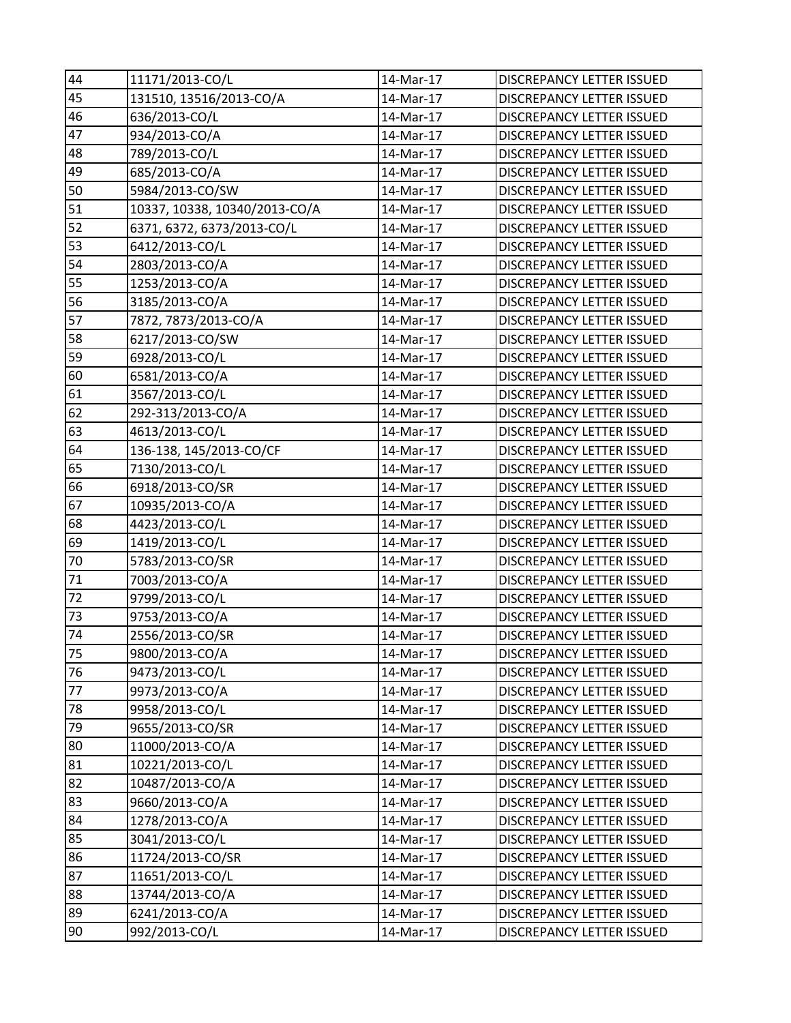| 44 | 11171/2013-CO/L               | 14-Mar-17 | DISCREPANCY LETTER ISSUED        |
|----|-------------------------------|-----------|----------------------------------|
| 45 | 131510, 13516/2013-CO/A       | 14-Mar-17 | <b>DISCREPANCY LETTER ISSUED</b> |
| 46 | 636/2013-CO/L                 | 14-Mar-17 | DISCREPANCY LETTER ISSUED        |
| 47 | 934/2013-CO/A                 | 14-Mar-17 | DISCREPANCY LETTER ISSUED        |
| 48 | 789/2013-CO/L                 | 14-Mar-17 | DISCREPANCY LETTER ISSUED        |
| 49 | 685/2013-CO/A                 | 14-Mar-17 | <b>DISCREPANCY LETTER ISSUED</b> |
| 50 | 5984/2013-CO/SW               | 14-Mar-17 | DISCREPANCY LETTER ISSUED        |
| 51 | 10337, 10338, 10340/2013-CO/A | 14-Mar-17 | DISCREPANCY LETTER ISSUED        |
| 52 | 6371, 6372, 6373/2013-CO/L    | 14-Mar-17 | <b>DISCREPANCY LETTER ISSUED</b> |
| 53 | 6412/2013-CO/L                | 14-Mar-17 | DISCREPANCY LETTER ISSUED        |
| 54 | 2803/2013-CO/A                | 14-Mar-17 | DISCREPANCY LETTER ISSUED        |
| 55 | 1253/2013-CO/A                | 14-Mar-17 | DISCREPANCY LETTER ISSUED        |
| 56 | 3185/2013-CO/A                | 14-Mar-17 | DISCREPANCY LETTER ISSUED        |
| 57 | 7872, 7873/2013-CO/A          | 14-Mar-17 | DISCREPANCY LETTER ISSUED        |
| 58 | 6217/2013-CO/SW               | 14-Mar-17 | DISCREPANCY LETTER ISSUED        |
| 59 | 6928/2013-CO/L                | 14-Mar-17 | DISCREPANCY LETTER ISSUED        |
| 60 | 6581/2013-CO/A                | 14-Mar-17 | DISCREPANCY LETTER ISSUED        |
| 61 | 3567/2013-CO/L                | 14-Mar-17 | DISCREPANCY LETTER ISSUED        |
| 62 | 292-313/2013-CO/A             | 14-Mar-17 | <b>DISCREPANCY LETTER ISSUED</b> |
| 63 | 4613/2013-CO/L                | 14-Mar-17 | DISCREPANCY LETTER ISSUED        |
| 64 | 136-138, 145/2013-CO/CF       | 14-Mar-17 | DISCREPANCY LETTER ISSUED        |
| 65 | 7130/2013-CO/L                | 14-Mar-17 | DISCREPANCY LETTER ISSUED        |
| 66 | 6918/2013-CO/SR               | 14-Mar-17 | DISCREPANCY LETTER ISSUED        |
| 67 | 10935/2013-CO/A               | 14-Mar-17 | DISCREPANCY LETTER ISSUED        |
| 68 | 4423/2013-CO/L                | 14-Mar-17 | DISCREPANCY LETTER ISSUED        |
| 69 | 1419/2013-CO/L                | 14-Mar-17 | <b>DISCREPANCY LETTER ISSUED</b> |
| 70 | 5783/2013-CO/SR               | 14-Mar-17 | DISCREPANCY LETTER ISSUED        |
| 71 | 7003/2013-CO/A                | 14-Mar-17 | DISCREPANCY LETTER ISSUED        |
| 72 | 9799/2013-CO/L                | 14-Mar-17 | DISCREPANCY LETTER ISSUED        |
| 73 | 9753/2013-CO/A                | 14-Mar-17 | <b>DISCREPANCY LETTER ISSUED</b> |
| 74 | 2556/2013-CO/SR               | 14-Mar-17 | <b>DISCREPANCY LETTER ISSUED</b> |
| 75 | 9800/2013-CO/A                | 14-Mar-17 | DISCREPANCY LETTER ISSUED        |
| 76 | 9473/2013-CO/L                | 14-Mar-17 | <b>DISCREPANCY LETTER ISSUED</b> |
| 77 | 9973/2013-CO/A                | 14-Mar-17 | DISCREPANCY LETTER ISSUED        |
| 78 | 9958/2013-CO/L                | 14-Mar-17 | DISCREPANCY LETTER ISSUED        |
| 79 | 9655/2013-CO/SR               | 14-Mar-17 | DISCREPANCY LETTER ISSUED        |
| 80 | 11000/2013-CO/A               | 14-Mar-17 | <b>DISCREPANCY LETTER ISSUED</b> |
| 81 | 10221/2013-CO/L               | 14-Mar-17 | DISCREPANCY LETTER ISSUED        |
| 82 | 10487/2013-CO/A               | 14-Mar-17 | DISCREPANCY LETTER ISSUED        |
| 83 | 9660/2013-CO/A                | 14-Mar-17 | DISCREPANCY LETTER ISSUED        |
| 84 | 1278/2013-CO/A                | 14-Mar-17 | DISCREPANCY LETTER ISSUED        |
| 85 | 3041/2013-CO/L                | 14-Mar-17 | DISCREPANCY LETTER ISSUED        |
| 86 | 11724/2013-CO/SR              | 14-Mar-17 | DISCREPANCY LETTER ISSUED        |
| 87 | 11651/2013-CO/L               | 14-Mar-17 | DISCREPANCY LETTER ISSUED        |
| 88 | 13744/2013-CO/A               | 14-Mar-17 | DISCREPANCY LETTER ISSUED        |
| 89 | 6241/2013-CO/A                | 14-Mar-17 | DISCREPANCY LETTER ISSUED        |
| 90 | 992/2013-CO/L                 | 14-Mar-17 | DISCREPANCY LETTER ISSUED        |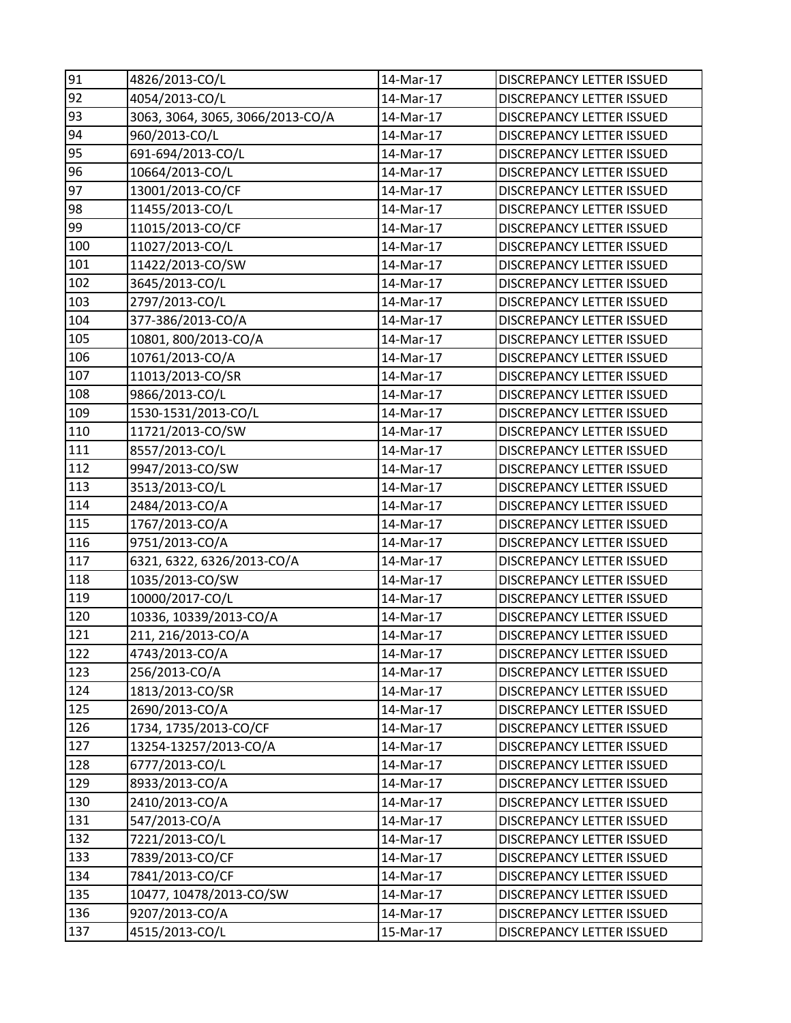| 91  | 4826/2013-CO/L                   | 14-Mar-17 | DISCREPANCY LETTER ISSUED        |
|-----|----------------------------------|-----------|----------------------------------|
| 92  | 4054/2013-CO/L                   | 14-Mar-17 | <b>DISCREPANCY LETTER ISSUED</b> |
| 93  | 3063, 3064, 3065, 3066/2013-CO/A | 14-Mar-17 | DISCREPANCY LETTER ISSUED        |
| 94  | 960/2013-CO/L                    | 14-Mar-17 | DISCREPANCY LETTER ISSUED        |
| 95  | 691-694/2013-CO/L                | 14-Mar-17 | DISCREPANCY LETTER ISSUED        |
| 96  | 10664/2013-CO/L                  | 14-Mar-17 | <b>DISCREPANCY LETTER ISSUED</b> |
| 97  | 13001/2013-CO/CF                 | 14-Mar-17 | <b>DISCREPANCY LETTER ISSUED</b> |
| 98  | 11455/2013-CO/L                  | 14-Mar-17 | DISCREPANCY LETTER ISSUED        |
| 99  | 11015/2013-CO/CF                 | 14-Mar-17 | <b>DISCREPANCY LETTER ISSUED</b> |
| 100 | 11027/2013-CO/L                  | 14-Mar-17 | DISCREPANCY LETTER ISSUED        |
| 101 | 11422/2013-CO/SW                 | 14-Mar-17 | DISCREPANCY LETTER ISSUED        |
| 102 | 3645/2013-CO/L                   | 14-Mar-17 | DISCREPANCY LETTER ISSUED        |
| 103 | 2797/2013-CO/L                   | 14-Mar-17 | DISCREPANCY LETTER ISSUED        |
| 104 | 377-386/2013-CO/A                | 14-Mar-17 | DISCREPANCY LETTER ISSUED        |
| 105 | 10801, 800/2013-CO/A             | 14-Mar-17 | <b>DISCREPANCY LETTER ISSUED</b> |
| 106 | 10761/2013-CO/A                  | 14-Mar-17 | DISCREPANCY LETTER ISSUED        |
| 107 | 11013/2013-CO/SR                 | 14-Mar-17 | DISCREPANCY LETTER ISSUED        |
| 108 | 9866/2013-CO/L                   | 14-Mar-17 | DISCREPANCY LETTER ISSUED        |
| 109 | 1530-1531/2013-CO/L              | 14-Mar-17 | DISCREPANCY LETTER ISSUED        |
| 110 | 11721/2013-CO/SW                 | 14-Mar-17 | DISCREPANCY LETTER ISSUED        |
| 111 | 8557/2013-CO/L                   | 14-Mar-17 | DISCREPANCY LETTER ISSUED        |
| 112 | 9947/2013-CO/SW                  | 14-Mar-17 | DISCREPANCY LETTER ISSUED        |
| 113 | 3513/2013-CO/L                   | 14-Mar-17 | <b>DISCREPANCY LETTER ISSUED</b> |
| 114 | 2484/2013-CO/A                   | 14-Mar-17 | DISCREPANCY LETTER ISSUED        |
| 115 | 1767/2013-CO/A                   | 14-Mar-17 | DISCREPANCY LETTER ISSUED        |
| 116 | 9751/2013-CO/A                   | 14-Mar-17 | <b>DISCREPANCY LETTER ISSUED</b> |
| 117 | 6321, 6322, 6326/2013-CO/A       | 14-Mar-17 | DISCREPANCY LETTER ISSUED        |
| 118 | 1035/2013-CO/SW                  | 14-Mar-17 | DISCREPANCY LETTER ISSUED        |
| 119 | 10000/2017-CO/L                  | 14-Mar-17 | <b>DISCREPANCY LETTER ISSUED</b> |
| 120 | 10336, 10339/2013-CO/A           | 14-Mar-17 | <b>DISCREPANCY LETTER ISSUED</b> |
| 121 | 211, 216/2013-CO/A               | 14-Mar-17 | <b>DISCREPANCY LETTER ISSUED</b> |
| 122 | 4743/2013-CO/A                   | 14-Mar-17 | DISCREPANCY LETTER ISSUED        |
| 123 | 256/2013-CO/A                    | 14-Mar-17 | <b>DISCREPANCY LETTER ISSUED</b> |
| 124 | 1813/2013-CO/SR                  | 14-Mar-17 | DISCREPANCY LETTER ISSUED        |
| 125 | 2690/2013-CO/A                   | 14-Mar-17 | <b>DISCREPANCY LETTER ISSUED</b> |
| 126 | 1734, 1735/2013-CO/CF            | 14-Mar-17 | <b>DISCREPANCY LETTER ISSUED</b> |
| 127 | 13254-13257/2013-CO/A            | 14-Mar-17 | DISCREPANCY LETTER ISSUED        |
| 128 | 6777/2013-CO/L                   | 14-Mar-17 | DISCREPANCY LETTER ISSUED        |
| 129 | 8933/2013-CO/A                   | 14-Mar-17 | DISCREPANCY LETTER ISSUED        |
| 130 | 2410/2013-CO/A                   | 14-Mar-17 | DISCREPANCY LETTER ISSUED        |
| 131 | 547/2013-CO/A                    | 14-Mar-17 | DISCREPANCY LETTER ISSUED        |
| 132 | 7221/2013-CO/L                   | 14-Mar-17 | DISCREPANCY LETTER ISSUED        |
| 133 | 7839/2013-CO/CF                  | 14-Mar-17 | <b>DISCREPANCY LETTER ISSUED</b> |
| 134 | 7841/2013-CO/CF                  | 14-Mar-17 | DISCREPANCY LETTER ISSUED        |
| 135 | 10477, 10478/2013-CO/SW          | 14-Mar-17 | DISCREPANCY LETTER ISSUED        |
| 136 | 9207/2013-CO/A                   | 14-Mar-17 | DISCREPANCY LETTER ISSUED        |
| 137 | 4515/2013-CO/L                   | 15-Mar-17 | DISCREPANCY LETTER ISSUED        |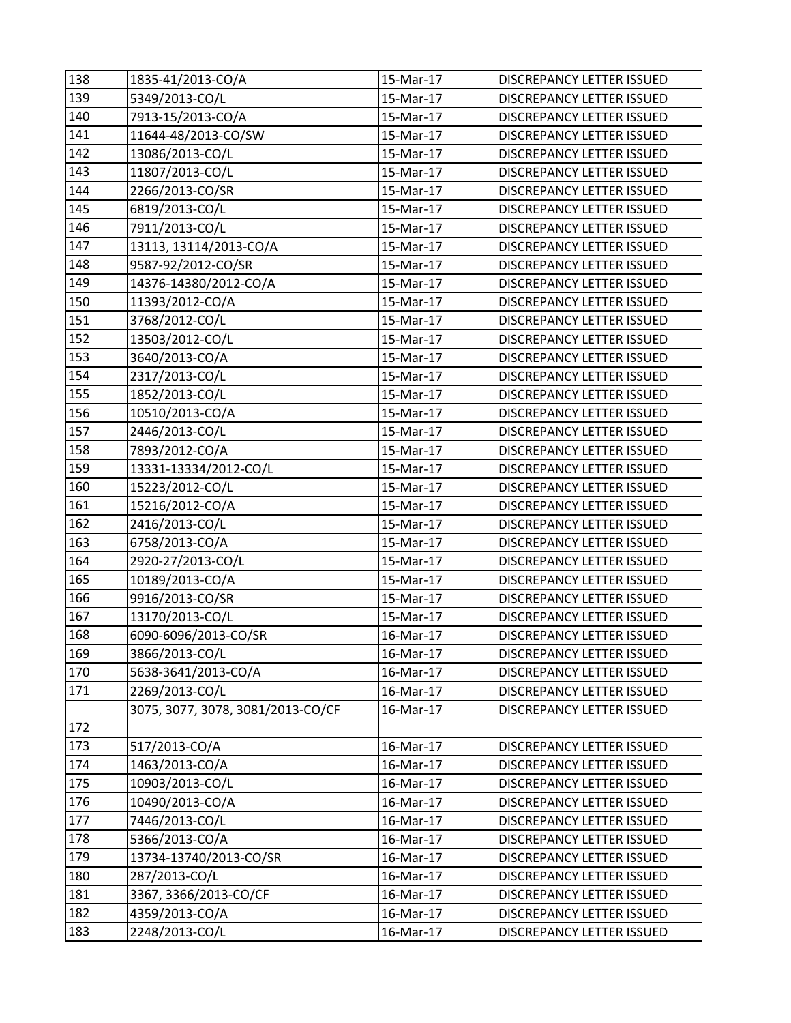| 138 | 1835-41/2013-CO/A                 | 15-Mar-17 | <b>DISCREPANCY LETTER ISSUED</b> |
|-----|-----------------------------------|-----------|----------------------------------|
| 139 | 5349/2013-CO/L                    | 15-Mar-17 | DISCREPANCY LETTER ISSUED        |
| 140 | 7913-15/2013-CO/A                 | 15-Mar-17 | DISCREPANCY LETTER ISSUED        |
| 141 | 11644-48/2013-CO/SW               | 15-Mar-17 | DISCREPANCY LETTER ISSUED        |
| 142 | 13086/2013-CO/L                   | 15-Mar-17 | DISCREPANCY LETTER ISSUED        |
| 143 | 11807/2013-CO/L                   | 15-Mar-17 | <b>DISCREPANCY LETTER ISSUED</b> |
| 144 | 2266/2013-CO/SR                   | 15-Mar-17 | DISCREPANCY LETTER ISSUED        |
| 145 | 6819/2013-CO/L                    | 15-Mar-17 | DISCREPANCY LETTER ISSUED        |
| 146 | 7911/2013-CO/L                    | 15-Mar-17 | DISCREPANCY LETTER ISSUED        |
| 147 | 13113, 13114/2013-CO/A            | 15-Mar-17 | DISCREPANCY LETTER ISSUED        |
| 148 | 9587-92/2012-CO/SR                | 15-Mar-17 | <b>DISCREPANCY LETTER ISSUED</b> |
| 149 | 14376-14380/2012-CO/A             | 15-Mar-17 | DISCREPANCY LETTER ISSUED        |
| 150 | 11393/2012-CO/A                   | 15-Mar-17 | DISCREPANCY LETTER ISSUED        |
| 151 | 3768/2012-CO/L                    | 15-Mar-17 | DISCREPANCY LETTER ISSUED        |
| 152 | 13503/2012-CO/L                   | 15-Mar-17 | <b>DISCREPANCY LETTER ISSUED</b> |
| 153 | 3640/2013-CO/A                    | 15-Mar-17 | DISCREPANCY LETTER ISSUED        |
| 154 | 2317/2013-CO/L                    | 15-Mar-17 | DISCREPANCY LETTER ISSUED        |
| 155 | 1852/2013-CO/L                    | 15-Mar-17 | DISCREPANCY LETTER ISSUED        |
| 156 | 10510/2013-CO/A                   | 15-Mar-17 | DISCREPANCY LETTER ISSUED        |
| 157 | 2446/2013-CO/L                    | 15-Mar-17 | <b>DISCREPANCY LETTER ISSUED</b> |
| 158 | 7893/2012-CO/A                    | 15-Mar-17 | <b>DISCREPANCY LETTER ISSUED</b> |
| 159 | 13331-13334/2012-CO/L             | 15-Mar-17 | DISCREPANCY LETTER ISSUED        |
| 160 | 15223/2012-CO/L                   | 15-Mar-17 | DISCREPANCY LETTER ISSUED        |
| 161 | 15216/2012-CO/A                   | 15-Mar-17 | DISCREPANCY LETTER ISSUED        |
| 162 | 2416/2013-CO/L                    | 15-Mar-17 | <b>DISCREPANCY LETTER ISSUED</b> |
| 163 | 6758/2013-CO/A                    | 15-Mar-17 | <b>DISCREPANCY LETTER ISSUED</b> |
| 164 | 2920-27/2013-CO/L                 | 15-Mar-17 | DISCREPANCY LETTER ISSUED        |
| 165 | 10189/2013-CO/A                   | 15-Mar-17 | DISCREPANCY LETTER ISSUED        |
| 166 | 9916/2013-CO/SR                   | 15-Mar-17 | DISCREPANCY LETTER ISSUED        |
| 167 | 13170/2013-CO/L                   | 15-Mar-17 | DISCREPANCY LETTER ISSUED        |
| 168 | 6090-6096/2013-CO/SR              | 16-Mar-17 | <b>DISCREPANCY LETTER ISSUED</b> |
| 169 | 3866/2013-CO/L                    | 16-Mar-17 | DISCREPANCY LETTER ISSUED        |
| 170 | 5638-3641/2013-CO/A               | 16-Mar-17 | <b>DISCREPANCY LETTER ISSUED</b> |
| 171 | 2269/2013-CO/L                    | 16-Mar-17 | DISCREPANCY LETTER ISSUED        |
| 172 | 3075, 3077, 3078, 3081/2013-CO/CF | 16-Mar-17 | <b>DISCREPANCY LETTER ISSUED</b> |
| 173 | 517/2013-CO/A                     | 16-Mar-17 | DISCREPANCY LETTER ISSUED        |
| 174 | 1463/2013-CO/A                    | 16-Mar-17 | <b>DISCREPANCY LETTER ISSUED</b> |
| 175 | 10903/2013-CO/L                   | 16-Mar-17 | DISCREPANCY LETTER ISSUED        |
| 176 | 10490/2013-CO/A                   | 16-Mar-17 | DISCREPANCY LETTER ISSUED        |
| 177 | 7446/2013-CO/L                    | 16-Mar-17 | DISCREPANCY LETTER ISSUED        |
| 178 | 5366/2013-CO/A                    | 16-Mar-17 | DISCREPANCY LETTER ISSUED        |
| 179 | 13734-13740/2013-CO/SR            | 16-Mar-17 | DISCREPANCY LETTER ISSUED        |
| 180 | 287/2013-CO/L                     | 16-Mar-17 | <b>DISCREPANCY LETTER ISSUED</b> |
| 181 | 3367, 3366/2013-CO/CF             | 16-Mar-17 | DISCREPANCY LETTER ISSUED        |
| 182 | 4359/2013-CO/A                    | 16-Mar-17 | DISCREPANCY LETTER ISSUED        |
| 183 | 2248/2013-CO/L                    | 16-Mar-17 | DISCREPANCY LETTER ISSUED        |
|     |                                   |           |                                  |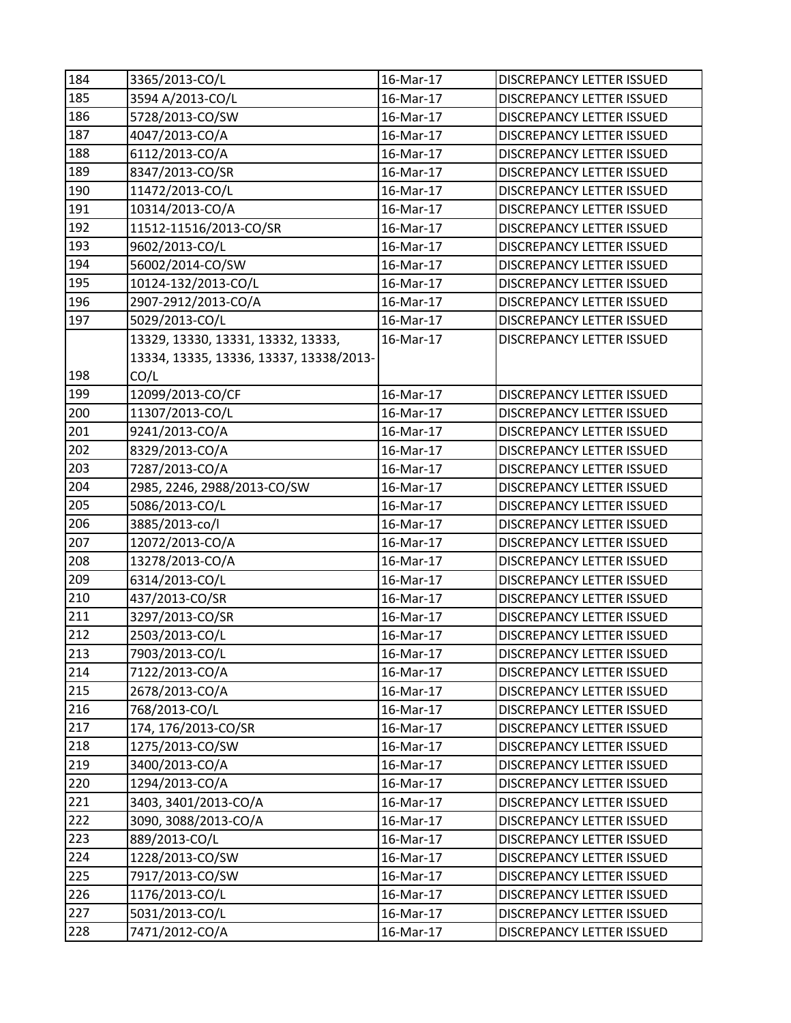| 184 | 3365/2013-CO/L                          | 16-Mar-17 | <b>DISCREPANCY LETTER ISSUED</b> |
|-----|-----------------------------------------|-----------|----------------------------------|
| 185 | 3594 A/2013-CO/L                        | 16-Mar-17 | <b>DISCREPANCY LETTER ISSUED</b> |
| 186 | 5728/2013-CO/SW                         | 16-Mar-17 | DISCREPANCY LETTER ISSUED        |
| 187 | 4047/2013-CO/A                          | 16-Mar-17 | DISCREPANCY LETTER ISSUED        |
| 188 | 6112/2013-CO/A                          | 16-Mar-17 | DISCREPANCY LETTER ISSUED        |
| 189 | 8347/2013-CO/SR                         | 16-Mar-17 | DISCREPANCY LETTER ISSUED        |
| 190 | 11472/2013-CO/L                         | 16-Mar-17 | DISCREPANCY LETTER ISSUED        |
| 191 | 10314/2013-CO/A                         | 16-Mar-17 | <b>DISCREPANCY LETTER ISSUED</b> |
| 192 | 11512-11516/2013-CO/SR                  | 16-Mar-17 | <b>DISCREPANCY LETTER ISSUED</b> |
| 193 | 9602/2013-CO/L                          | 16-Mar-17 | DISCREPANCY LETTER ISSUED        |
| 194 | 56002/2014-CO/SW                        | 16-Mar-17 | DISCREPANCY LETTER ISSUED        |
| 195 | 10124-132/2013-CO/L                     | 16-Mar-17 | DISCREPANCY LETTER ISSUED        |
| 196 | 2907-2912/2013-CO/A                     | 16-Mar-17 | DISCREPANCY LETTER ISSUED        |
| 197 | 5029/2013-CO/L                          | 16-Mar-17 | DISCREPANCY LETTER ISSUED        |
|     | 13329, 13330, 13331, 13332, 13333,      | 16-Mar-17 | <b>DISCREPANCY LETTER ISSUED</b> |
|     | 13334, 13335, 13336, 13337, 13338/2013- |           |                                  |
| 198 | CO/L                                    |           |                                  |
| 199 | 12099/2013-CO/CF                        | 16-Mar-17 | DISCREPANCY LETTER ISSUED        |
| 200 | 11307/2013-CO/L                         | 16-Mar-17 | <b>DISCREPANCY LETTER ISSUED</b> |
| 201 | 9241/2013-CO/A                          | 16-Mar-17 | DISCREPANCY LETTER ISSUED        |
| 202 | 8329/2013-CO/A                          | 16-Mar-17 | DISCREPANCY LETTER ISSUED        |
| 203 | 7287/2013-CO/A                          | 16-Mar-17 | DISCREPANCY LETTER ISSUED        |
| 204 | 2985, 2246, 2988/2013-CO/SW             | 16-Mar-17 | DISCREPANCY LETTER ISSUED        |
| 205 | 5086/2013-CO/L                          | 16-Mar-17 | DISCREPANCY LETTER ISSUED        |
| 206 | 3885/2013-co/l                          | 16-Mar-17 | DISCREPANCY LETTER ISSUED        |
| 207 | 12072/2013-CO/A                         | 16-Mar-17 | DISCREPANCY LETTER ISSUED        |
| 208 | 13278/2013-CO/A                         | 16-Mar-17 | DISCREPANCY LETTER ISSUED        |
| 209 | 6314/2013-CO/L                          | 16-Mar-17 | DISCREPANCY LETTER ISSUED        |
| 210 | 437/2013-CO/SR                          | 16-Mar-17 | DISCREPANCY LETTER ISSUED        |
| 211 | 3297/2013-CO/SR                         | 16-Mar-17 | DISCREPANCY LETTER ISSUED        |
| 212 | 2503/2013-CO/L                          | 16-Mar-17 | <b>DISCREPANCY LETTER ISSUED</b> |
| 213 | 7903/2013-CO/L                          | 16-Mar-17 | DISCREPANCY LETTER ISSUED        |
| 214 | 7122/2013-CO/A                          | 16-Mar-17 | <b>DISCREPANCY LETTER ISSUED</b> |
| 215 | 2678/2013-CO/A                          | 16-Mar-17 | DISCREPANCY LETTER ISSUED        |
| 216 | 768/2013-CO/L                           | 16-Mar-17 | <b>DISCREPANCY LETTER ISSUED</b> |
| 217 | 174, 176/2013-CO/SR                     | 16-Mar-17 | <b>DISCREPANCY LETTER ISSUED</b> |
| 218 | 1275/2013-CO/SW                         | 16-Mar-17 | DISCREPANCY LETTER ISSUED        |
| 219 | 3400/2013-CO/A                          | 16-Mar-17 | DISCREPANCY LETTER ISSUED        |
| 220 | 1294/2013-CO/A                          | 16-Mar-17 | DISCREPANCY LETTER ISSUED        |
| 221 | 3403, 3401/2013-CO/A                    | 16-Mar-17 | DISCREPANCY LETTER ISSUED        |
| 222 | 3090, 3088/2013-CO/A                    | 16-Mar-17 | DISCREPANCY LETTER ISSUED        |
| 223 | 889/2013-CO/L                           | 16-Mar-17 | DISCREPANCY LETTER ISSUED        |
| 224 | 1228/2013-CO/SW                         | 16-Mar-17 | DISCREPANCY LETTER ISSUED        |
| 225 | 7917/2013-CO/SW                         | 16-Mar-17 | DISCREPANCY LETTER ISSUED        |
| 226 | 1176/2013-CO/L                          | 16-Mar-17 | DISCREPANCY LETTER ISSUED        |
| 227 | 5031/2013-CO/L                          | 16-Mar-17 | DISCREPANCY LETTER ISSUED        |
| 228 | 7471/2012-CO/A                          | 16-Mar-17 | DISCREPANCY LETTER ISSUED        |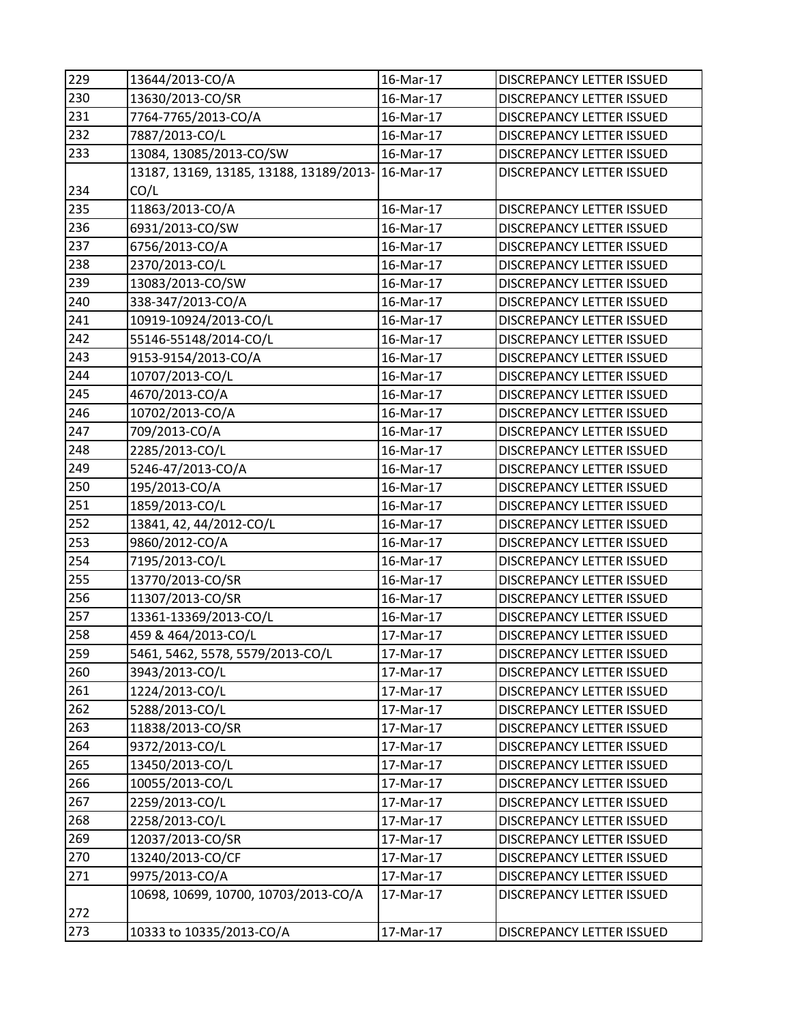| 229 | 13644/2013-CO/A                                   | 16-Mar-17 | DISCREPANCY LETTER ISSUED        |
|-----|---------------------------------------------------|-----------|----------------------------------|
| 230 | 13630/2013-CO/SR                                  | 16-Mar-17 | DISCREPANCY LETTER ISSUED        |
| 231 | 7764-7765/2013-CO/A                               | 16-Mar-17 | DISCREPANCY LETTER ISSUED        |
| 232 | 7887/2013-CO/L                                    | 16-Mar-17 | DISCREPANCY LETTER ISSUED        |
| 233 | 13084, 13085/2013-CO/SW                           | 16-Mar-17 | DISCREPANCY LETTER ISSUED        |
|     | 13187, 13169, 13185, 13188, 13189/2013- 16-Mar-17 |           | DISCREPANCY LETTER ISSUED        |
| 234 | CO/L                                              |           |                                  |
| 235 | 11863/2013-CO/A                                   | 16-Mar-17 | <b>DISCREPANCY LETTER ISSUED</b> |
| 236 | 6931/2013-CO/SW                                   | 16-Mar-17 | DISCREPANCY LETTER ISSUED        |
| 237 | 6756/2013-CO/A                                    | 16-Mar-17 | DISCREPANCY LETTER ISSUED        |
| 238 | 2370/2013-CO/L                                    | 16-Mar-17 | DISCREPANCY LETTER ISSUED        |
| 239 | 13083/2013-CO/SW                                  | 16-Mar-17 | DISCREPANCY LETTER ISSUED        |
| 240 | 338-347/2013-CO/A                                 | 16-Mar-17 | DISCREPANCY LETTER ISSUED        |
| 241 | 10919-10924/2013-CO/L                             | 16-Mar-17 | DISCREPANCY LETTER ISSUED        |
| 242 | 55146-55148/2014-CO/L                             | 16-Mar-17 | DISCREPANCY LETTER ISSUED        |
| 243 | 9153-9154/2013-CO/A                               | 16-Mar-17 | <b>DISCREPANCY LETTER ISSUED</b> |
| 244 | 10707/2013-CO/L                                   | 16-Mar-17 | DISCREPANCY LETTER ISSUED        |
| 245 | 4670/2013-CO/A                                    | 16-Mar-17 | DISCREPANCY LETTER ISSUED        |
| 246 | 10702/2013-CO/A                                   | 16-Mar-17 | <b>DISCREPANCY LETTER ISSUED</b> |
| 247 | 709/2013-CO/A                                     | 16-Mar-17 | <b>DISCREPANCY LETTER ISSUED</b> |
| 248 | 2285/2013-CO/L                                    | 16-Mar-17 | DISCREPANCY LETTER ISSUED        |
| 249 | 5246-47/2013-CO/A                                 | 16-Mar-17 | DISCREPANCY LETTER ISSUED        |
| 250 | 195/2013-CO/A                                     | 16-Mar-17 | DISCREPANCY LETTER ISSUED        |
| 251 | 1859/2013-CO/L                                    | 16-Mar-17 | DISCREPANCY LETTER ISSUED        |
| 252 | 13841, 42, 44/2012-CO/L                           | 16-Mar-17 | DISCREPANCY LETTER ISSUED        |
| 253 | 9860/2012-CO/A                                    | 16-Mar-17 | DISCREPANCY LETTER ISSUED        |
| 254 | 7195/2013-CO/L                                    | 16-Mar-17 | <b>DISCREPANCY LETTER ISSUED</b> |
| 255 | 13770/2013-CO/SR                                  | 16-Mar-17 | DISCREPANCY LETTER ISSUED        |
| 256 | 11307/2013-CO/SR                                  | 16-Mar-17 | <b>DISCREPANCY LETTER ISSUED</b> |
| 257 | 13361-13369/2013-CO/L                             | 16-Mar-17 | <b>DISCREPANCY LETTER ISSUED</b> |
| 258 | 459 & 464/2013-CO/L                               | 17-Mar-17 | <b>DISCREPANCY LETTER ISSUED</b> |
| 259 | 5461, 5462, 5578, 5579/2013-CO/L                  | 17-Mar-17 | DISCREPANCY LETTER ISSUED        |
| 260 | 3943/2013-CO/L                                    | 17-Mar-17 | <b>DISCREPANCY LETTER ISSUED</b> |
| 261 | 1224/2013-CO/L                                    | 17-Mar-17 | DISCREPANCY LETTER ISSUED        |
| 262 | 5288/2013-CO/L                                    | 17-Mar-17 | DISCREPANCY LETTER ISSUED        |
| 263 | 11838/2013-CO/SR                                  | 17-Mar-17 | DISCREPANCY LETTER ISSUED        |
| 264 | 9372/2013-CO/L                                    | 17-Mar-17 | <b>DISCREPANCY LETTER ISSUED</b> |
| 265 | 13450/2013-CO/L                                   | 17-Mar-17 | DISCREPANCY LETTER ISSUED        |
| 266 | 10055/2013-CO/L                                   | 17-Mar-17 | DISCREPANCY LETTER ISSUED        |
| 267 | 2259/2013-CO/L                                    | 17-Mar-17 | DISCREPANCY LETTER ISSUED        |
| 268 | 2258/2013-CO/L                                    | 17-Mar-17 | DISCREPANCY LETTER ISSUED        |
| 269 | 12037/2013-CO/SR                                  | 17-Mar-17 | DISCREPANCY LETTER ISSUED        |
| 270 | 13240/2013-CO/CF                                  | 17-Mar-17 | DISCREPANCY LETTER ISSUED        |
| 271 | 9975/2013-CO/A                                    | 17-Mar-17 | DISCREPANCY LETTER ISSUED        |
| 272 | 10698, 10699, 10700, 10703/2013-CO/A              | 17-Mar-17 | DISCREPANCY LETTER ISSUED        |
| 273 | 10333 to 10335/2013-CO/A                          | 17-Mar-17 | DISCREPANCY LETTER ISSUED        |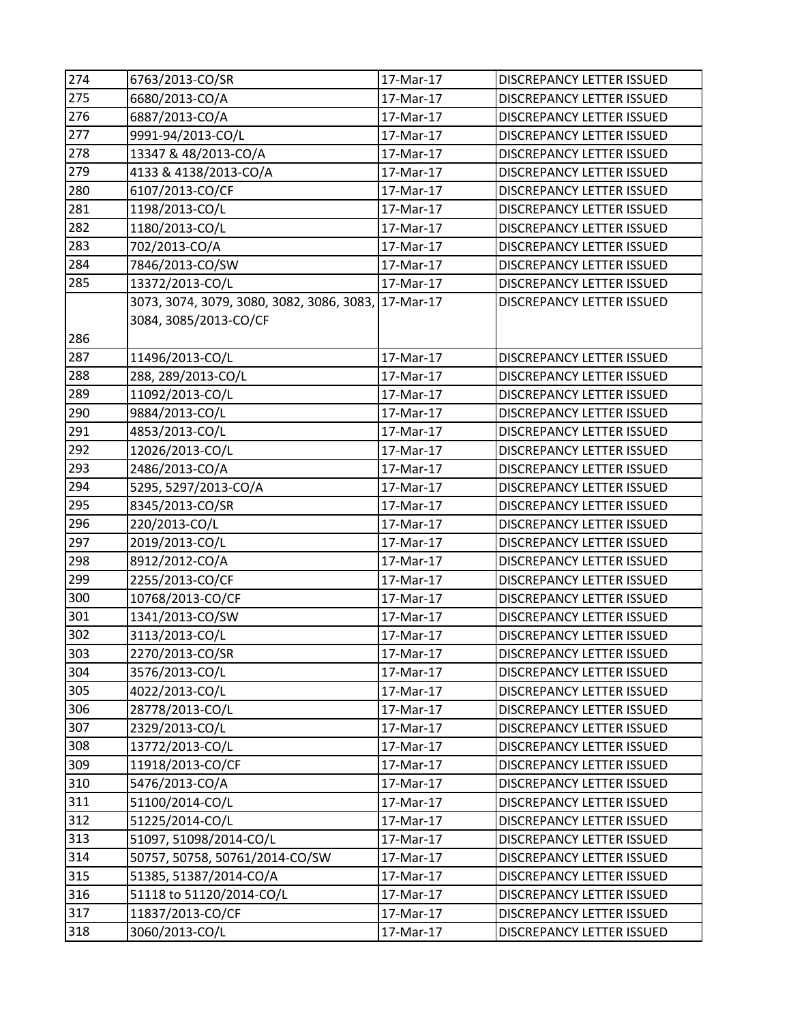| 274 | 6763/2013-CO/SR                                     | 17-Mar-17 | DISCREPANCY LETTER ISSUED        |
|-----|-----------------------------------------------------|-----------|----------------------------------|
| 275 | 6680/2013-CO/A                                      | 17-Mar-17 | <b>DISCREPANCY LETTER ISSUED</b> |
| 276 | 6887/2013-CO/A                                      | 17-Mar-17 | DISCREPANCY LETTER ISSUED        |
| 277 | 9991-94/2013-CO/L                                   | 17-Mar-17 | DISCREPANCY LETTER ISSUED        |
| 278 | 13347 & 48/2013-CO/A                                | 17-Mar-17 | <b>DISCREPANCY LETTER ISSUED</b> |
| 279 | 4133 & 4138/2013-CO/A                               | 17-Mar-17 | DISCREPANCY LETTER ISSUED        |
| 280 | 6107/2013-CO/CF                                     | 17-Mar-17 | <b>DISCREPANCY LETTER ISSUED</b> |
| 281 | 1198/2013-CO/L                                      | 17-Mar-17 | DISCREPANCY LETTER ISSUED        |
| 282 | 1180/2013-CO/L                                      | 17-Mar-17 | DISCREPANCY LETTER ISSUED        |
| 283 | 702/2013-CO/A                                       | 17-Mar-17 | <b>DISCREPANCY LETTER ISSUED</b> |
| 284 | 7846/2013-CO/SW                                     | 17-Mar-17 | DISCREPANCY LETTER ISSUED        |
| 285 | 13372/2013-CO/L                                     | 17-Mar-17 | <b>DISCREPANCY LETTER ISSUED</b> |
|     | 3073, 3074, 3079, 3080, 3082, 3086, 3083, 17-Mar-17 |           | DISCREPANCY LETTER ISSUED        |
|     | 3084, 3085/2013-CO/CF                               |           |                                  |
| 286 |                                                     |           |                                  |
| 287 | 11496/2013-CO/L                                     | 17-Mar-17 | DISCREPANCY LETTER ISSUED        |
| 288 | 288, 289/2013-CO/L                                  | 17-Mar-17 | DISCREPANCY LETTER ISSUED        |
| 289 | 11092/2013-CO/L                                     | 17-Mar-17 | <b>DISCREPANCY LETTER ISSUED</b> |
| 290 | 9884/2013-CO/L                                      | 17-Mar-17 | DISCREPANCY LETTER ISSUED        |
| 291 | 4853/2013-CO/L                                      | 17-Mar-17 | <b>DISCREPANCY LETTER ISSUED</b> |
| 292 | 12026/2013-CO/L                                     | 17-Mar-17 | DISCREPANCY LETTER ISSUED        |
| 293 | 2486/2013-CO/A                                      | 17-Mar-17 | DISCREPANCY LETTER ISSUED        |
| 294 | 5295, 5297/2013-CO/A                                | 17-Mar-17 | <b>DISCREPANCY LETTER ISSUED</b> |
| 295 | 8345/2013-CO/SR                                     | 17-Mar-17 | DISCREPANCY LETTER ISSUED        |
| 296 | 220/2013-CO/L                                       | 17-Mar-17 | <b>DISCREPANCY LETTER ISSUED</b> |
| 297 | 2019/2013-CO/L                                      | 17-Mar-17 | DISCREPANCY LETTER ISSUED        |
| 298 | 8912/2012-CO/A                                      | 17-Mar-17 | DISCREPANCY LETTER ISSUED        |
| 299 | 2255/2013-CO/CF                                     | 17-Mar-17 | DISCREPANCY LETTER ISSUED        |
| 300 | 10768/2013-CO/CF                                    | 17-Mar-17 | DISCREPANCY LETTER ISSUED        |
| 301 | 1341/2013-CO/SW                                     | 17-Mar-17 | <b>DISCREPANCY LETTER ISSUED</b> |
| 302 | 3113/2013-CO/L                                      | 17-Mar-17 | <b>DISCREPANCY LETTER ISSUED</b> |
| 303 | 2270/2013-CO/SR                                     | 17-Mar-17 | DISCREPANCY LETTER ISSUED        |
| 304 | 3576/2013-CO/L                                      | 17-Mar-17 | DISCREPANCY LETTER ISSUED        |
| 305 | 4022/2013-CO/L                                      | 17-Mar-17 | DISCREPANCY LETTER ISSUED        |
| 306 | 28778/2013-CO/L                                     | 17-Mar-17 | DISCREPANCY LETTER ISSUED        |
| 307 | 2329/2013-CO/L                                      | 17-Mar-17 | <b>DISCREPANCY LETTER ISSUED</b> |
| 308 | 13772/2013-CO/L                                     | 17-Mar-17 | DISCREPANCY LETTER ISSUED        |
| 309 | 11918/2013-CO/CF                                    | 17-Mar-17 | DISCREPANCY LETTER ISSUED        |
| 310 | 5476/2013-CO/A                                      | 17-Mar-17 | DISCREPANCY LETTER ISSUED        |
| 311 | 51100/2014-CO/L                                     | 17-Mar-17 | <b>DISCREPANCY LETTER ISSUED</b> |
| 312 | 51225/2014-CO/L                                     | 17-Mar-17 | DISCREPANCY LETTER ISSUED        |
| 313 | 51097, 51098/2014-CO/L                              | 17-Mar-17 | DISCREPANCY LETTER ISSUED        |
| 314 | 50757, 50758, 50761/2014-CO/SW                      | 17-Mar-17 | <b>DISCREPANCY LETTER ISSUED</b> |
| 315 | 51385, 51387/2014-CO/A                              | 17-Mar-17 | DISCREPANCY LETTER ISSUED        |
| 316 | 51118 to 51120/2014-CO/L                            | 17-Mar-17 | DISCREPANCY LETTER ISSUED        |
| 317 | 11837/2013-CO/CF                                    | 17-Mar-17 | DISCREPANCY LETTER ISSUED        |
| 318 | 3060/2013-CO/L                                      | 17-Mar-17 | DISCREPANCY LETTER ISSUED        |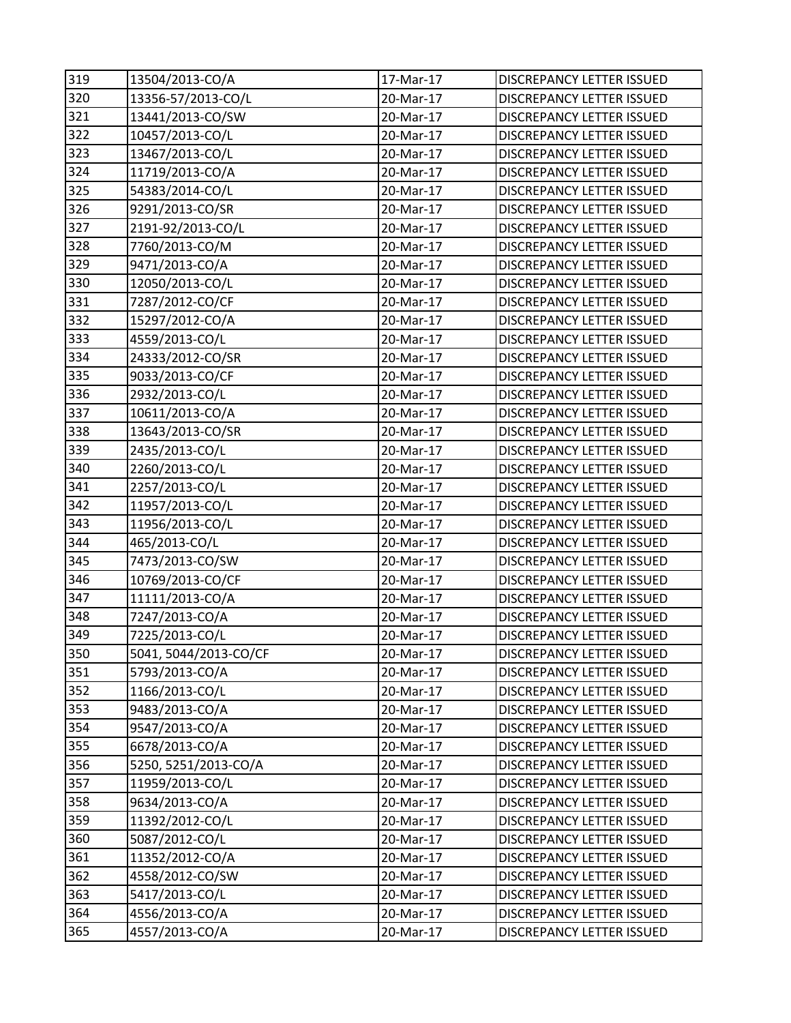| 319 | 13504/2013-CO/A       | 17-Mar-17 | DISCREPANCY LETTER ISSUED        |
|-----|-----------------------|-----------|----------------------------------|
| 320 | 13356-57/2013-CO/L    | 20-Mar-17 | <b>DISCREPANCY LETTER ISSUED</b> |
| 321 | 13441/2013-CO/SW      | 20-Mar-17 | DISCREPANCY LETTER ISSUED        |
| 322 | 10457/2013-CO/L       | 20-Mar-17 | DISCREPANCY LETTER ISSUED        |
| 323 | 13467/2013-CO/L       | 20-Mar-17 | <b>DISCREPANCY LETTER ISSUED</b> |
| 324 | 11719/2013-CO/A       | 20-Mar-17 | <b>DISCREPANCY LETTER ISSUED</b> |
| 325 | 54383/2014-CO/L       | 20-Mar-17 | <b>DISCREPANCY LETTER ISSUED</b> |
| 326 | 9291/2013-CO/SR       | 20-Mar-17 | DISCREPANCY LETTER ISSUED        |
| 327 | 2191-92/2013-CO/L     | 20-Mar-17 | <b>DISCREPANCY LETTER ISSUED</b> |
| 328 | 7760/2013-CO/M        | 20-Mar-17 | DISCREPANCY LETTER ISSUED        |
| 329 | 9471/2013-CO/A        | 20-Mar-17 | DISCREPANCY LETTER ISSUED        |
| 330 | 12050/2013-CO/L       | 20-Mar-17 | DISCREPANCY LETTER ISSUED        |
| 331 | 7287/2012-CO/CF       | 20-Mar-17 | DISCREPANCY LETTER ISSUED        |
| 332 | 15297/2012-CO/A       | 20-Mar-17 | DISCREPANCY LETTER ISSUED        |
| 333 | 4559/2013-CO/L        | 20-Mar-17 | <b>DISCREPANCY LETTER ISSUED</b> |
| 334 | 24333/2012-CO/SR      | 20-Mar-17 | <b>DISCREPANCY LETTER ISSUED</b> |
| 335 | 9033/2013-CO/CF       | 20-Mar-17 | <b>DISCREPANCY LETTER ISSUED</b> |
| 336 | 2932/2013-CO/L        | 20-Mar-17 | DISCREPANCY LETTER ISSUED        |
| 337 | 10611/2013-CO/A       | 20-Mar-17 | <b>DISCREPANCY LETTER ISSUED</b> |
| 338 | 13643/2013-CO/SR      | 20-Mar-17 | DISCREPANCY LETTER ISSUED        |
| 339 | 2435/2013-CO/L        | 20-Mar-17 | DISCREPANCY LETTER ISSUED        |
| 340 | 2260/2013-CO/L        | 20-Mar-17 | DISCREPANCY LETTER ISSUED        |
| 341 | 2257/2013-CO/L        | 20-Mar-17 | <b>DISCREPANCY LETTER ISSUED</b> |
| 342 | 11957/2013-CO/L       | 20-Mar-17 | DISCREPANCY LETTER ISSUED        |
| 343 | 11956/2013-CO/L       | 20-Mar-17 | DISCREPANCY LETTER ISSUED        |
| 344 | 465/2013-CO/L         | 20-Mar-17 | <b>DISCREPANCY LETTER ISSUED</b> |
| 345 | 7473/2013-CO/SW       | 20-Mar-17 | DISCREPANCY LETTER ISSUED        |
| 346 | 10769/2013-CO/CF      | 20-Mar-17 | DISCREPANCY LETTER ISSUED        |
| 347 | 11111/2013-CO/A       | 20-Mar-17 | DISCREPANCY LETTER ISSUED        |
| 348 | 7247/2013-CO/A        | 20-Mar-17 | <b>DISCREPANCY LETTER ISSUED</b> |
| 349 | 7225/2013-CO/L        | 20-Mar-17 | <b>DISCREPANCY LETTER ISSUED</b> |
| 350 | 5041, 5044/2013-CO/CF | 20-Mar-17 | DISCREPANCY LETTER ISSUED        |
| 351 | 5793/2013-CO/A        | 20-Mar-17 | <b>DISCREPANCY LETTER ISSUED</b> |
| 352 | 1166/2013-CO/L        | 20-Mar-17 | DISCREPANCY LETTER ISSUED        |
| 353 | 9483/2013-CO/A        | 20-Mar-17 | <b>DISCREPANCY LETTER ISSUED</b> |
| 354 | 9547/2013-CO/A        | 20-Mar-17 | DISCREPANCY LETTER ISSUED        |
| 355 | 6678/2013-CO/A        | 20-Mar-17 | DISCREPANCY LETTER ISSUED        |
| 356 | 5250, 5251/2013-CO/A  | 20-Mar-17 | DISCREPANCY LETTER ISSUED        |
| 357 | 11959/2013-CO/L       | 20-Mar-17 | <b>DISCREPANCY LETTER ISSUED</b> |
| 358 | 9634/2013-CO/A        | 20-Mar-17 | DISCREPANCY LETTER ISSUED        |
| 359 | 11392/2012-CO/L       | 20-Mar-17 | DISCREPANCY LETTER ISSUED        |
| 360 | 5087/2012-CO/L        | 20-Mar-17 | DISCREPANCY LETTER ISSUED        |
| 361 | 11352/2012-CO/A       | 20-Mar-17 | <b>DISCREPANCY LETTER ISSUED</b> |
| 362 | 4558/2012-CO/SW       | 20-Mar-17 | DISCREPANCY LETTER ISSUED        |
| 363 | 5417/2013-CO/L        | 20-Mar-17 | DISCREPANCY LETTER ISSUED        |
| 364 | 4556/2013-CO/A        | 20-Mar-17 | DISCREPANCY LETTER ISSUED        |
| 365 | 4557/2013-CO/A        | 20-Mar-17 | DISCREPANCY LETTER ISSUED        |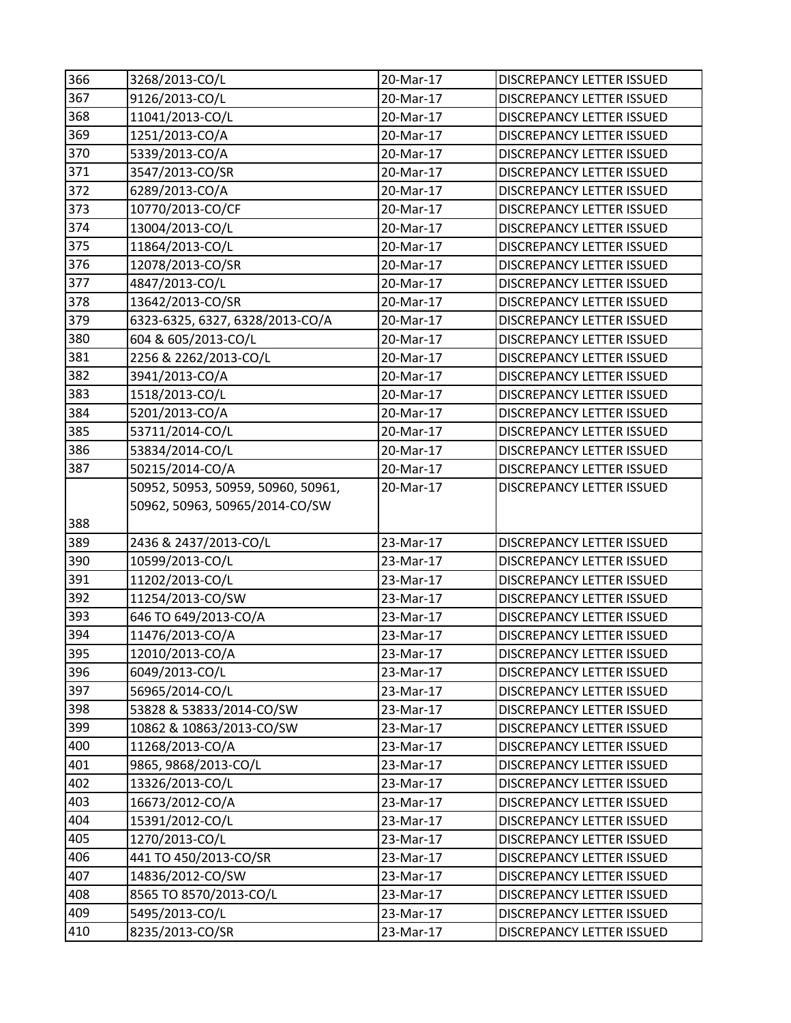| 366        | 3268/2013-CO/L                     | 20-Mar-17              | DISCREPANCY LETTER ISSUED                              |
|------------|------------------------------------|------------------------|--------------------------------------------------------|
| 367        | 9126/2013-CO/L                     | 20-Mar-17              | DISCREPANCY LETTER ISSUED                              |
| 368        | 11041/2013-CO/L                    | 20-Mar-17              | DISCREPANCY LETTER ISSUED                              |
| 369        | 1251/2013-CO/A                     | 20-Mar-17              | DISCREPANCY LETTER ISSUED                              |
| 370        | 5339/2013-CO/A                     | 20-Mar-17              | DISCREPANCY LETTER ISSUED                              |
| 371        | 3547/2013-CO/SR                    | 20-Mar-17              | DISCREPANCY LETTER ISSUED                              |
| 372        | 6289/2013-CO/A                     | 20-Mar-17              | DISCREPANCY LETTER ISSUED                              |
| 373        | 10770/2013-CO/CF                   | 20-Mar-17              | DISCREPANCY LETTER ISSUED                              |
| 374        | 13004/2013-CO/L                    | 20-Mar-17              | <b>DISCREPANCY LETTER ISSUED</b>                       |
| 375        | 11864/2013-CO/L                    | 20-Mar-17              | DISCREPANCY LETTER ISSUED                              |
| 376        | 12078/2013-CO/SR                   | 20-Mar-17              | DISCREPANCY LETTER ISSUED                              |
| 377        | 4847/2013-CO/L                     | 20-Mar-17              | <b>DISCREPANCY LETTER ISSUED</b>                       |
| 378        | 13642/2013-CO/SR                   | 20-Mar-17              | DISCREPANCY LETTER ISSUED                              |
| 379        | 6323-6325, 6327, 6328/2013-CO/A    | 20-Mar-17              | DISCREPANCY LETTER ISSUED                              |
| 380        | 604 & 605/2013-CO/L                | 20-Mar-17              | DISCREPANCY LETTER ISSUED                              |
| 381        | 2256 & 2262/2013-CO/L              | 20-Mar-17              | DISCREPANCY LETTER ISSUED                              |
| 382        | 3941/2013-CO/A                     | 20-Mar-17              | <b>DISCREPANCY LETTER ISSUED</b>                       |
| 383        | 1518/2013-CO/L                     | 20-Mar-17              | DISCREPANCY LETTER ISSUED                              |
| 384        | 5201/2013-CO/A                     | 20-Mar-17              | <b>DISCREPANCY LETTER ISSUED</b>                       |
| 385        | 53711/2014-CO/L                    | 20-Mar-17              | DISCREPANCY LETTER ISSUED                              |
| 386        | 53834/2014-CO/L                    | 20-Mar-17              | DISCREPANCY LETTER ISSUED                              |
| 387        | 50215/2014-CO/A                    | 20-Mar-17              | DISCREPANCY LETTER ISSUED                              |
|            | 50952, 50953, 50959, 50960, 50961, | 20-Mar-17              | <b>DISCREPANCY LETTER ISSUED</b>                       |
|            | 50962, 50963, 50965/2014-CO/SW     |                        |                                                        |
| 388        |                                    |                        |                                                        |
| 389        | 2436 & 2437/2013-CO/L              | 23-Mar-17              | DISCREPANCY LETTER ISSUED                              |
| 390        | 10599/2013-CO/L                    | 23-Mar-17              | DISCREPANCY LETTER ISSUED                              |
| 391        | 11202/2013-CO/L                    | 23-Mar-17              | DISCREPANCY LETTER ISSUED                              |
| 392        | 11254/2013-CO/SW                   | 23-Mar-17              | <b>DISCREPANCY LETTER ISSUED</b>                       |
| 393        | 646 TO 649/2013-CO/A               | 23-Mar-17              | DISCREPANCY LETTER ISSUED                              |
| 394        | 11476/2013-CO/A                    | 23-Mar-17              | <b>DISCREPANCY LETTER ISSUED</b>                       |
| 395        | 12010/2013-CO/A                    | 23-Mar-17              | DISCREPANCY LETTER ISSUED                              |
| 396        | 6049/2013-CO/L                     | 23-Mar-17              | <b>DISCREPANCY LETTER ISSUED</b>                       |
| 397        | 56965/2014-CO/L                    | 23-Mar-17              | DISCREPANCY LETTER ISSUED                              |
| 398        | 53828 & 53833/2014-CO/SW           | 23-Mar-17              | DISCREPANCY LETTER ISSUED                              |
| 399        | 10862 & 10863/2013-CO/SW           | 23-Mar-17              | DISCREPANCY LETTER ISSUED                              |
| 400        | 11268/2013-CO/A                    | 23-Mar-17              | DISCREPANCY LETTER ISSUED                              |
| 401        | 9865, 9868/2013-CO/L               | 23-Mar-17              | <b>DISCREPANCY LETTER ISSUED</b>                       |
| 402        | 13326/2013-CO/L                    | 23-Mar-17              | DISCREPANCY LETTER ISSUED                              |
| 403        | 16673/2012-CO/A                    | 23-Mar-17              | DISCREPANCY LETTER ISSUED                              |
| 404        | 15391/2012-CO/L                    | 23-Mar-17              | DISCREPANCY LETTER ISSUED                              |
| 405        | 1270/2013-CO/L                     | 23-Mar-17              | DISCREPANCY LETTER ISSUED                              |
| 406        | 441 TO 450/2013-CO/SR              | 23-Mar-17              | DISCREPANCY LETTER ISSUED                              |
| 407        | 14836/2012-CO/SW                   | 23-Mar-17              | DISCREPANCY LETTER ISSUED                              |
| 408        | 8565 TO 8570/2013-CO/L             | 23-Mar-17              | DISCREPANCY LETTER ISSUED                              |
|            |                                    |                        |                                                        |
| 409<br>410 | 5495/2013-CO/L<br>8235/2013-CO/SR  | 23-Mar-17<br>23-Mar-17 | DISCREPANCY LETTER ISSUED<br>DISCREPANCY LETTER ISSUED |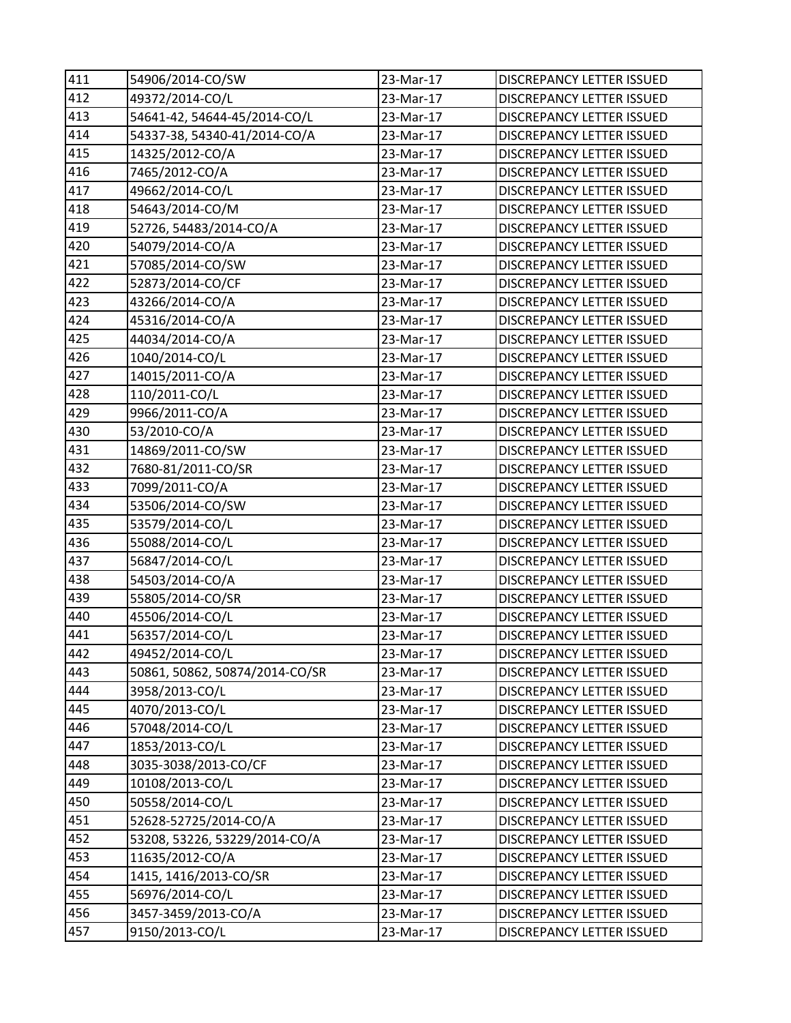| 411 | 54906/2014-CO/SW               | 23-Mar-17 | DISCREPANCY LETTER ISSUED        |
|-----|--------------------------------|-----------|----------------------------------|
| 412 | 49372/2014-CO/L                | 23-Mar-17 | DISCREPANCY LETTER ISSUED        |
| 413 | 54641-42, 54644-45/2014-CO/L   | 23-Mar-17 | DISCREPANCY LETTER ISSUED        |
| 414 | 54337-38, 54340-41/2014-CO/A   | 23-Mar-17 | DISCREPANCY LETTER ISSUED        |
| 415 | 14325/2012-CO/A                | 23-Mar-17 | DISCREPANCY LETTER ISSUED        |
| 416 | 7465/2012-CO/A                 | 23-Mar-17 | DISCREPANCY LETTER ISSUED        |
| 417 | 49662/2014-CO/L                | 23-Mar-17 | DISCREPANCY LETTER ISSUED        |
| 418 | 54643/2014-CO/M                | 23-Mar-17 | DISCREPANCY LETTER ISSUED        |
| 419 | 52726, 54483/2014-CO/A         | 23-Mar-17 | DISCREPANCY LETTER ISSUED        |
| 420 | 54079/2014-CO/A                | 23-Mar-17 | DISCREPANCY LETTER ISSUED        |
| 421 | 57085/2014-CO/SW               | 23-Mar-17 | DISCREPANCY LETTER ISSUED        |
| 422 | 52873/2014-CO/CF               | 23-Mar-17 | DISCREPANCY LETTER ISSUED        |
| 423 | 43266/2014-CO/A                | 23-Mar-17 | DISCREPANCY LETTER ISSUED        |
| 424 | 45316/2014-CO/A                | 23-Mar-17 | DISCREPANCY LETTER ISSUED        |
| 425 | 44034/2014-CO/A                | 23-Mar-17 | DISCREPANCY LETTER ISSUED        |
| 426 | 1040/2014-CO/L                 | 23-Mar-17 | DISCREPANCY LETTER ISSUED        |
| 427 | 14015/2011-CO/A                | 23-Mar-17 | DISCREPANCY LETTER ISSUED        |
| 428 | 110/2011-CO/L                  | 23-Mar-17 | DISCREPANCY LETTER ISSUED        |
| 429 | 9966/2011-CO/A                 | 23-Mar-17 | DISCREPANCY LETTER ISSUED        |
| 430 | 53/2010-CO/A                   | 23-Mar-17 | <b>DISCREPANCY LETTER ISSUED</b> |
| 431 | 14869/2011-CO/SW               | 23-Mar-17 | DISCREPANCY LETTER ISSUED        |
| 432 | 7680-81/2011-CO/SR             | 23-Mar-17 | DISCREPANCY LETTER ISSUED        |
| 433 | 7099/2011-CO/A                 | 23-Mar-17 | DISCREPANCY LETTER ISSUED        |
| 434 | 53506/2014-CO/SW               | 23-Mar-17 | DISCREPANCY LETTER ISSUED        |
| 435 | 53579/2014-CO/L                | 23-Mar-17 | DISCREPANCY LETTER ISSUED        |
| 436 | 55088/2014-CO/L                | 23-Mar-17 | DISCREPANCY LETTER ISSUED        |
| 437 | 56847/2014-CO/L                | 23-Mar-17 | DISCREPANCY LETTER ISSUED        |
| 438 | 54503/2014-CO/A                | 23-Mar-17 | DISCREPANCY LETTER ISSUED        |
| 439 | 55805/2014-CO/SR               | 23-Mar-17 | DISCREPANCY LETTER ISSUED        |
| 440 | 45506/2014-CO/L                | 23-Mar-17 | DISCREPANCY LETTER ISSUED        |
| 441 | 56357/2014-CO/L                | 23-Mar-17 | DISCREPANCY LETTER ISSUED        |
| 442 | 49452/2014-CO/L                | 23-Mar-17 | DISCREPANCY LETTER ISSUED        |
| 443 | 50861, 50862, 50874/2014-CO/SR | 23-Mar-17 | <b>DISCREPANCY LETTER ISSUED</b> |
| 444 | 3958/2013-CO/L                 | 23-Mar-17 | DISCREPANCY LETTER ISSUED        |
| 445 | 4070/2013-CO/L                 | 23-Mar-17 | DISCREPANCY LETTER ISSUED        |
| 446 | 57048/2014-CO/L                | 23-Mar-17 | DISCREPANCY LETTER ISSUED        |
| 447 | 1853/2013-CO/L                 | 23-Mar-17 | <b>DISCREPANCY LETTER ISSUED</b> |
| 448 | 3035-3038/2013-CO/CF           | 23-Mar-17 | DISCREPANCY LETTER ISSUED        |
| 449 | 10108/2013-CO/L                | 23-Mar-17 | DISCREPANCY LETTER ISSUED        |
| 450 | 50558/2014-CO/L                | 23-Mar-17 | DISCREPANCY LETTER ISSUED        |
| 451 | 52628-52725/2014-CO/A          | 23-Mar-17 | DISCREPANCY LETTER ISSUED        |
| 452 | 53208, 53226, 53229/2014-CO/A  | 23-Mar-17 | DISCREPANCY LETTER ISSUED        |
| 453 | 11635/2012-CO/A                | 23-Mar-17 | <b>DISCREPANCY LETTER ISSUED</b> |
| 454 | 1415, 1416/2013-CO/SR          | 23-Mar-17 | DISCREPANCY LETTER ISSUED        |
| 455 | 56976/2014-CO/L                | 23-Mar-17 | DISCREPANCY LETTER ISSUED        |
| 456 | 3457-3459/2013-CO/A            | 23-Mar-17 | DISCREPANCY LETTER ISSUED        |
| 457 | 9150/2013-CO/L                 | 23-Mar-17 | DISCREPANCY LETTER ISSUED        |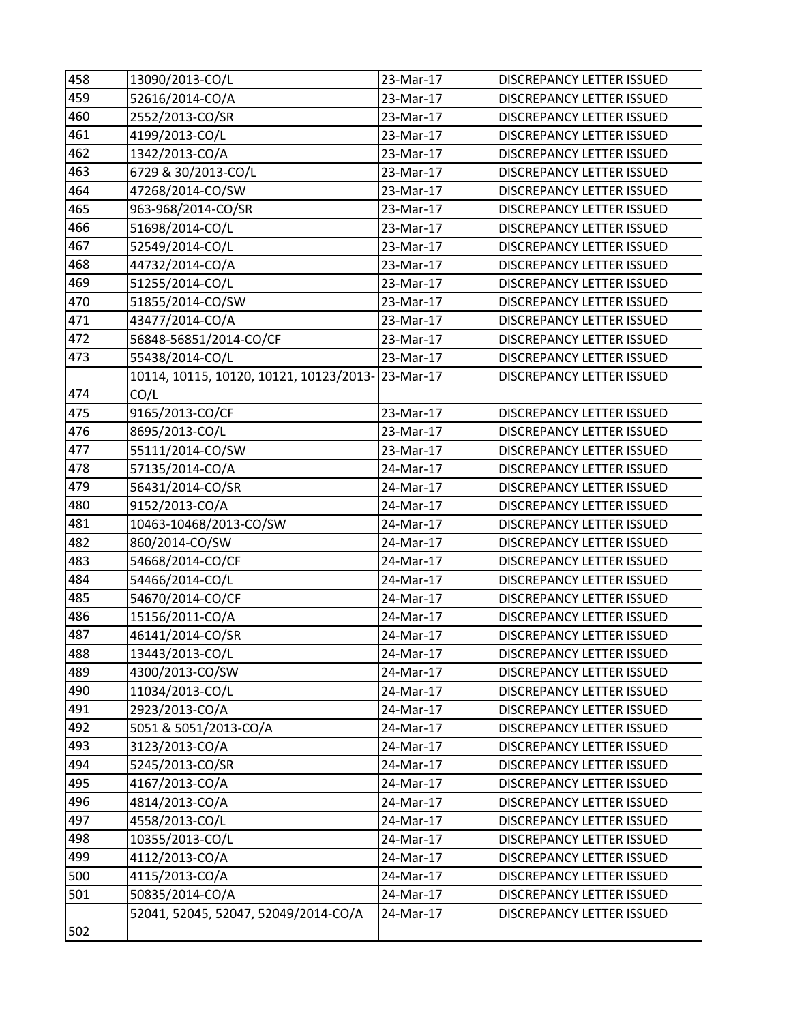| 458 | 13090/2013-CO/L                                  | 23-Mar-17 | DISCREPANCY LETTER ISSUED        |
|-----|--------------------------------------------------|-----------|----------------------------------|
| 459 | 52616/2014-CO/A                                  | 23-Mar-17 | <b>DISCREPANCY LETTER ISSUED</b> |
| 460 | 2552/2013-CO/SR                                  | 23-Mar-17 | DISCREPANCY LETTER ISSUED        |
| 461 | 4199/2013-CO/L                                   | 23-Mar-17 | DISCREPANCY LETTER ISSUED        |
| 462 | 1342/2013-CO/A                                   | 23-Mar-17 | DISCREPANCY LETTER ISSUED        |
| 463 | 6729 & 30/2013-CO/L                              | 23-Mar-17 | DISCREPANCY LETTER ISSUED        |
| 464 | 47268/2014-CO/SW                                 | 23-Mar-17 | <b>DISCREPANCY LETTER ISSUED</b> |
| 465 | 963-968/2014-CO/SR                               | 23-Mar-17 | <b>DISCREPANCY LETTER ISSUED</b> |
| 466 | 51698/2014-CO/L                                  | 23-Mar-17 | <b>DISCREPANCY LETTER ISSUED</b> |
| 467 | 52549/2014-CO/L                                  | 23-Mar-17 | DISCREPANCY LETTER ISSUED        |
| 468 | 44732/2014-CO/A                                  | 23-Mar-17 | DISCREPANCY LETTER ISSUED        |
| 469 | 51255/2014-CO/L                                  | 23-Mar-17 | DISCREPANCY LETTER ISSUED        |
| 470 | 51855/2014-CO/SW                                 | 23-Mar-17 | DISCREPANCY LETTER ISSUED        |
| 471 | 43477/2014-CO/A                                  | 23-Mar-17 | DISCREPANCY LETTER ISSUED        |
| 472 | 56848-56851/2014-CO/CF                           | 23-Mar-17 | DISCREPANCY LETTER ISSUED        |
| 473 | 55438/2014-CO/L                                  | 23-Mar-17 | DISCREPANCY LETTER ISSUED        |
|     | 10114, 10115, 10120, 10121, 10123/2013-23-Mar-17 |           | DISCREPANCY LETTER ISSUED        |
| 474 | CO/L                                             |           |                                  |
| 475 | 9165/2013-CO/CF                                  | 23-Mar-17 | <b>DISCREPANCY LETTER ISSUED</b> |
| 476 | 8695/2013-CO/L                                   | 23-Mar-17 | <b>DISCREPANCY LETTER ISSUED</b> |
| 477 | 55111/2014-CO/SW                                 | 23-Mar-17 | DISCREPANCY LETTER ISSUED        |
| 478 | 57135/2014-CO/A                                  | 24-Mar-17 | DISCREPANCY LETTER ISSUED        |
| 479 | 56431/2014-CO/SR                                 | 24-Mar-17 | <b>DISCREPANCY LETTER ISSUED</b> |
| 480 | 9152/2013-CO/A                                   | 24-Mar-17 | DISCREPANCY LETTER ISSUED        |
| 481 | 10463-10468/2013-CO/SW                           | 24-Mar-17 | DISCREPANCY LETTER ISSUED        |
| 482 | 860/2014-CO/SW                                   | 24-Mar-17 | DISCREPANCY LETTER ISSUED        |
| 483 | 54668/2014-CO/CF                                 | 24-Mar-17 | DISCREPANCY LETTER ISSUED        |
| 484 | 54466/2014-CO/L                                  | 24-Mar-17 | DISCREPANCY LETTER ISSUED        |
| 485 | 54670/2014-CO/CF                                 | 24-Mar-17 | DISCREPANCY LETTER ISSUED        |
| 486 | 15156/2011-CO/A                                  | 24-Mar-17 | <b>DISCREPANCY LETTER ISSUED</b> |
| 487 | 46141/2014-CO/SR                                 | 24-Mar-17 | <b>DISCREPANCY LETTER ISSUED</b> |
| 488 | 13443/2013-CO/L                                  | 24-Mar-17 | DISCREPANCY LETTER ISSUED        |
| 489 | 4300/2013-CO/SW                                  | 24-Mar-17 | <b>DISCREPANCY LETTER ISSUED</b> |
| 490 | 11034/2013-CO/L                                  | 24-Mar-17 | DISCREPANCY LETTER ISSUED        |
| 491 | 2923/2013-CO/A                                   | 24-Mar-17 | <b>DISCREPANCY LETTER ISSUED</b> |
| 492 | 5051 & 5051/2013-CO/A                            | 24-Mar-17 | DISCREPANCY LETTER ISSUED        |
| 493 | 3123/2013-CO/A                                   | 24-Mar-17 | DISCREPANCY LETTER ISSUED        |
| 494 | 5245/2013-CO/SR                                  | 24-Mar-17 | DISCREPANCY LETTER ISSUED        |
| 495 | 4167/2013-CO/A                                   | 24-Mar-17 | DISCREPANCY LETTER ISSUED        |
| 496 | 4814/2013-CO/A                                   | 24-Mar-17 | DISCREPANCY LETTER ISSUED        |
| 497 | 4558/2013-CO/L                                   | 24-Mar-17 | DISCREPANCY LETTER ISSUED        |
| 498 | 10355/2013-CO/L                                  | 24-Mar-17 | DISCREPANCY LETTER ISSUED        |
| 499 | 4112/2013-CO/A                                   | 24-Mar-17 | DISCREPANCY LETTER ISSUED        |
| 500 | 4115/2013-CO/A                                   | 24-Mar-17 | DISCREPANCY LETTER ISSUED        |
| 501 | 50835/2014-CO/A                                  | 24-Mar-17 | DISCREPANCY LETTER ISSUED        |
|     | 52041, 52045, 52047, 52049/2014-CO/A             | 24-Mar-17 | DISCREPANCY LETTER ISSUED        |
| 502 |                                                  |           |                                  |